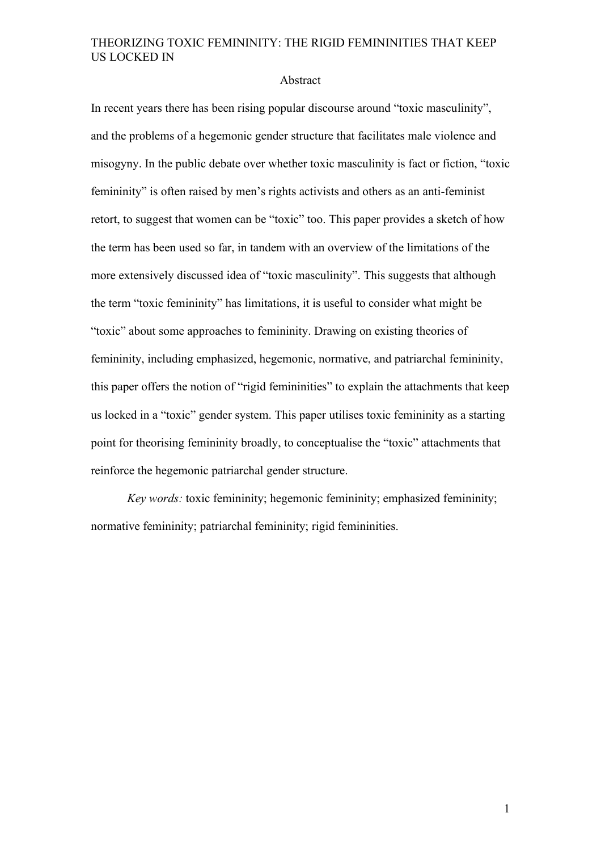#### Abstract

In recent years there has been rising popular discourse around "toxic masculinity", and the problems of a hegemonic gender structure that facilitates male violence and misogyny. In the public debate over whether toxic masculinity is fact or fiction, "toxic femininity" is often raised by men's rights activists and others as an anti-feminist retort, to suggest that women can be "toxic" too. This paper provides a sketch of how the term has been used so far, in tandem with an overview of the limitations of the more extensively discussed idea of "toxic masculinity". This suggests that although the term "toxic femininity" has limitations, it is useful to consider what might be "toxic" about some approaches to femininity. Drawing on existing theories of femininity, including emphasized, hegemonic, normative, and patriarchal femininity, this paper offers the notion of "rigid femininities" to explain the attachments that keep us locked in a "toxic" gender system. This paper utilises toxic femininity as a starting point for theorising femininity broadly, to conceptualise the "toxic" attachments that reinforce the hegemonic patriarchal gender structure.

*Key words:* toxic femininity; hegemonic femininity; emphasized femininity; normative femininity; patriarchal femininity; rigid femininities.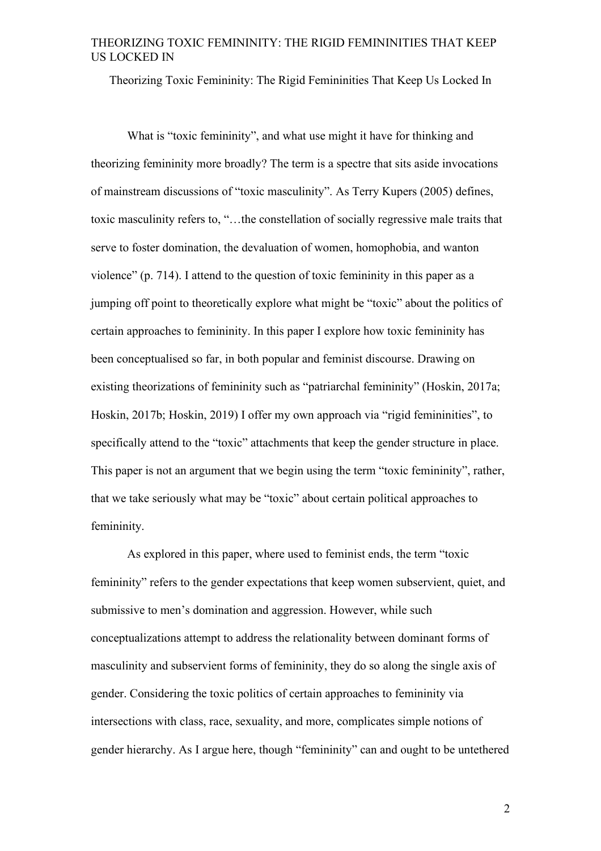Theorizing Toxic Femininity: The Rigid Femininities That Keep Us Locked In

What is "toxic femininity", and what use might it have for thinking and theorizing femininity more broadly? The term is a spectre that sits aside invocations of mainstream discussions of "toxic masculinity". As Terry Kupers (2005) defines, toxic masculinity refers to, "…the constellation of socially regressive male traits that serve to foster domination, the devaluation of women, homophobia, and wanton violence" (p. 714). I attend to the question of toxic femininity in this paper as a jumping off point to theoretically explore what might be "toxic" about the politics of certain approaches to femininity. In this paper I explore how toxic femininity has been conceptualised so far, in both popular and feminist discourse. Drawing on existing theorizations of femininity such as "patriarchal femininity" (Hoskin, 2017a; Hoskin, 2017b; Hoskin, 2019) I offer my own approach via "rigid femininities", to specifically attend to the "toxic" attachments that keep the gender structure in place. This paper is not an argument that we begin using the term "toxic femininity", rather, that we take seriously what may be "toxic" about certain political approaches to femininity.

As explored in this paper, where used to feminist ends, the term "toxic femininity" refers to the gender expectations that keep women subservient, quiet, and submissive to men's domination and aggression. However, while such conceptualizations attempt to address the relationality between dominant forms of masculinity and subservient forms of femininity, they do so along the single axis of gender. Considering the toxic politics of certain approaches to femininity via intersections with class, race, sexuality, and more, complicates simple notions of gender hierarchy. As I argue here, though "femininity" can and ought to be untethered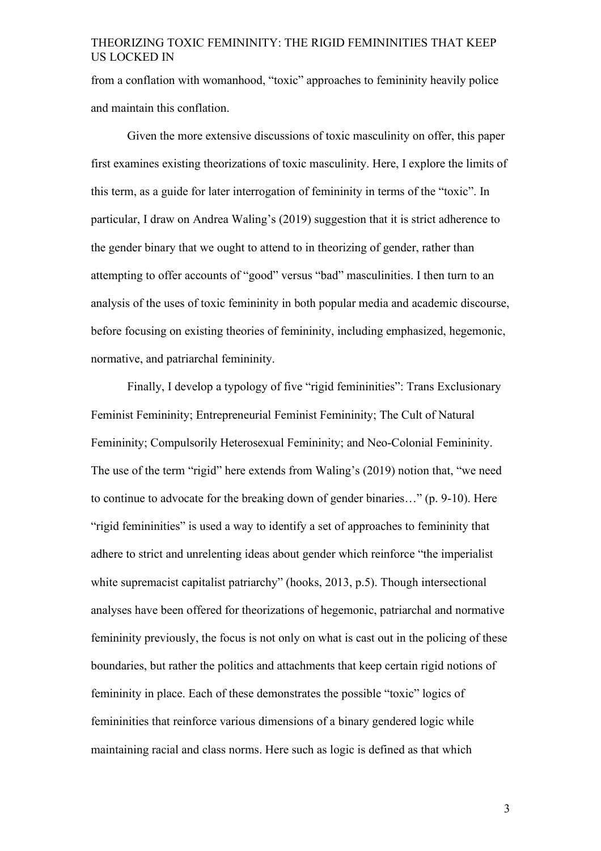from a conflation with womanhood, "toxic" approaches to femininity heavily police and maintain this conflation.

Given the more extensive discussions of toxic masculinity on offer, this paper first examines existing theorizations of toxic masculinity. Here, I explore the limits of this term, as a guide for later interrogation of femininity in terms of the "toxic". In particular, I draw on Andrea Waling's (2019) suggestion that it is strict adherence to the gender binary that we ought to attend to in theorizing of gender, rather than attempting to offer accounts of "good" versus "bad" masculinities. I then turn to an analysis of the uses of toxic femininity in both popular media and academic discourse, before focusing on existing theories of femininity, including emphasized, hegemonic, normative, and patriarchal femininity.

Finally, I develop a typology of five "rigid femininities": Trans Exclusionary Feminist Femininity; Entrepreneurial Feminist Femininity; The Cult of Natural Femininity; Compulsorily Heterosexual Femininity; and Neo-Colonial Femininity. The use of the term "rigid" here extends from Waling's (2019) notion that, "we need to continue to advocate for the breaking down of gender binaries…" (p. 9-10). Here "rigid femininities" is used a way to identify a set of approaches to femininity that adhere to strict and unrelenting ideas about gender which reinforce "the imperialist white supremacist capitalist patriarchy" (hooks, 2013, p.5). Though intersectional analyses have been offered for theorizations of hegemonic, patriarchal and normative femininity previously, the focus is not only on what is cast out in the policing of these boundaries, but rather the politics and attachments that keep certain rigid notions of femininity in place. Each of these demonstrates the possible "toxic" logics of femininities that reinforce various dimensions of a binary gendered logic while maintaining racial and class norms. Here such as logic is defined as that which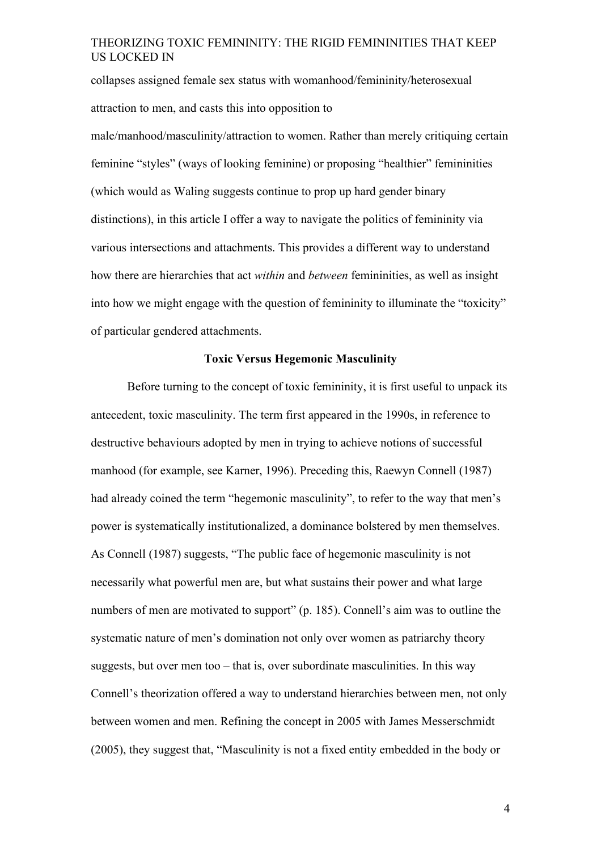collapses assigned female sex status with womanhood/femininity/heterosexual attraction to men, and casts this into opposition to

male/manhood/masculinity/attraction to women. Rather than merely critiquing certain feminine "styles" (ways of looking feminine) or proposing "healthier" femininities (which would as Waling suggests continue to prop up hard gender binary distinctions), in this article I offer a way to navigate the politics of femininity via various intersections and attachments. This provides a different way to understand how there are hierarchies that act *within* and *between* femininities, as well as insight into how we might engage with the question of femininity to illuminate the "toxicity" of particular gendered attachments.

## **Toxic Versus Hegemonic Masculinity**

Before turning to the concept of toxic femininity, it is first useful to unpack its antecedent, toxic masculinity. The term first appeared in the 1990s, in reference to destructive behaviours adopted by men in trying to achieve notions of successful manhood (for example, see Karner, 1996). Preceding this, Raewyn Connell (1987) had already coined the term "hegemonic masculinity", to refer to the way that men's power is systematically institutionalized, a dominance bolstered by men themselves. As Connell (1987) suggests, "The public face of hegemonic masculinity is not necessarily what powerful men are, but what sustains their power and what large numbers of men are motivated to support" (p. 185). Connell's aim was to outline the systematic nature of men's domination not only over women as patriarchy theory suggests, but over men too – that is, over subordinate masculinities. In this way Connell's theorization offered a way to understand hierarchies between men, not only between women and men. Refining the concept in 2005 with James Messerschmidt (2005), they suggest that, "Masculinity is not a fixed entity embedded in the body or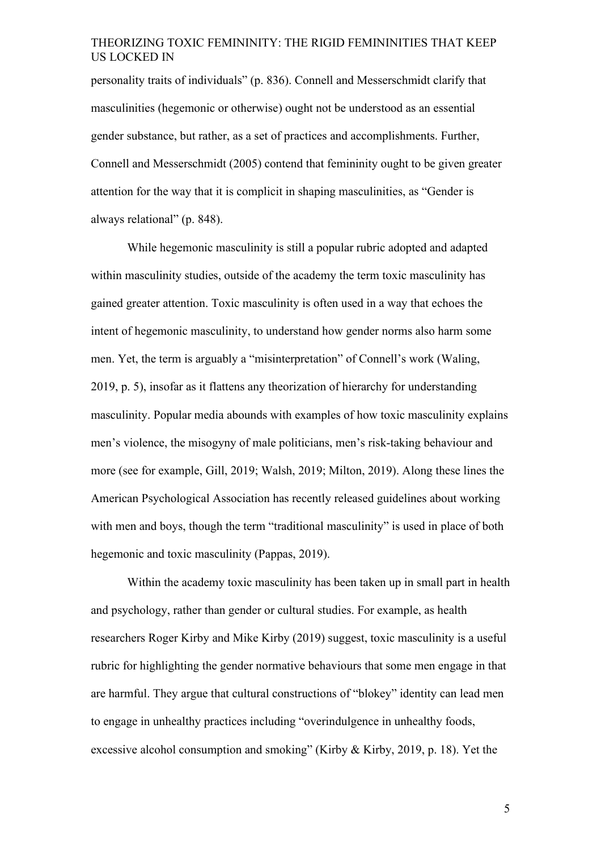personality traits of individuals" (p. 836). Connell and Messerschmidt clarify that masculinities (hegemonic or otherwise) ought not be understood as an essential gender substance, but rather, as a set of practices and accomplishments. Further, Connell and Messerschmidt (2005) contend that femininity ought to be given greater attention for the way that it is complicit in shaping masculinities, as "Gender is always relational" (p. 848).

While hegemonic masculinity is still a popular rubric adopted and adapted within masculinity studies, outside of the academy the term toxic masculinity has gained greater attention. Toxic masculinity is often used in a way that echoes the intent of hegemonic masculinity, to understand how gender norms also harm some men. Yet, the term is arguably a "misinterpretation" of Connell's work (Waling, 2019, p. 5), insofar as it flattens any theorization of hierarchy for understanding masculinity. Popular media abounds with examples of how toxic masculinity explains men's violence, the misogyny of male politicians, men's risk-taking behaviour and more (see for example, Gill, 2019; Walsh, 2019; Milton, 2019). Along these lines the American Psychological Association has recently released guidelines about working with men and boys, though the term "traditional masculinity" is used in place of both hegemonic and toxic masculinity (Pappas, 2019).

Within the academy toxic masculinity has been taken up in small part in health and psychology, rather than gender or cultural studies. For example, as health researchers Roger Kirby and Mike Kirby (2019) suggest, toxic masculinity is a useful rubric for highlighting the gender normative behaviours that some men engage in that are harmful. They argue that cultural constructions of "blokey" identity can lead men to engage in unhealthy practices including "overindulgence in unhealthy foods, excessive alcohol consumption and smoking" (Kirby & Kirby, 2019, p. 18). Yet the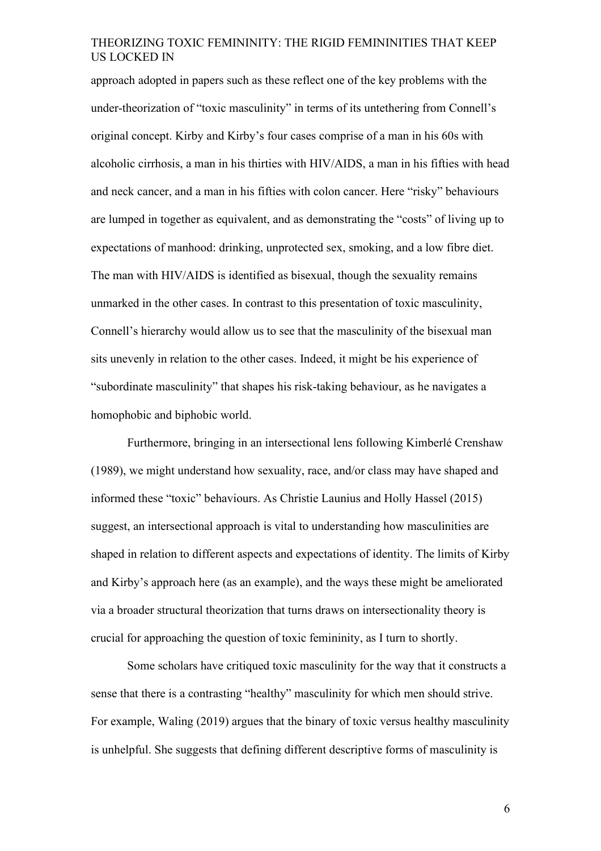approach adopted in papers such as these reflect one of the key problems with the under-theorization of "toxic masculinity" in terms of its untethering from Connell's original concept. Kirby and Kirby's four cases comprise of a man in his 60s with alcoholic cirrhosis, a man in his thirties with HIV/AIDS, a man in his fifties with head and neck cancer, and a man in his fifties with colon cancer. Here "risky" behaviours are lumped in together as equivalent, and as demonstrating the "costs" of living up to expectations of manhood: drinking, unprotected sex, smoking, and a low fibre diet. The man with HIV/AIDS is identified as bisexual, though the sexuality remains unmarked in the other cases. In contrast to this presentation of toxic masculinity, Connell's hierarchy would allow us to see that the masculinity of the bisexual man sits unevenly in relation to the other cases. Indeed, it might be his experience of "subordinate masculinity" that shapes his risk-taking behaviour, as he navigates a homophobic and biphobic world.

Furthermore, bringing in an intersectional lens following Kimberlé Crenshaw (1989), we might understand how sexuality, race, and/or class may have shaped and informed these "toxic" behaviours. As Christie Launius and Holly Hassel (2015) suggest, an intersectional approach is vital to understanding how masculinities are shaped in relation to different aspects and expectations of identity. The limits of Kirby and Kirby's approach here (as an example), and the ways these might be ameliorated via a broader structural theorization that turns draws on intersectionality theory is crucial for approaching the question of toxic femininity, as I turn to shortly.

Some scholars have critiqued toxic masculinity for the way that it constructs a sense that there is a contrasting "healthy" masculinity for which men should strive. For example, Waling (2019) argues that the binary of toxic versus healthy masculinity is unhelpful. She suggests that defining different descriptive forms of masculinity is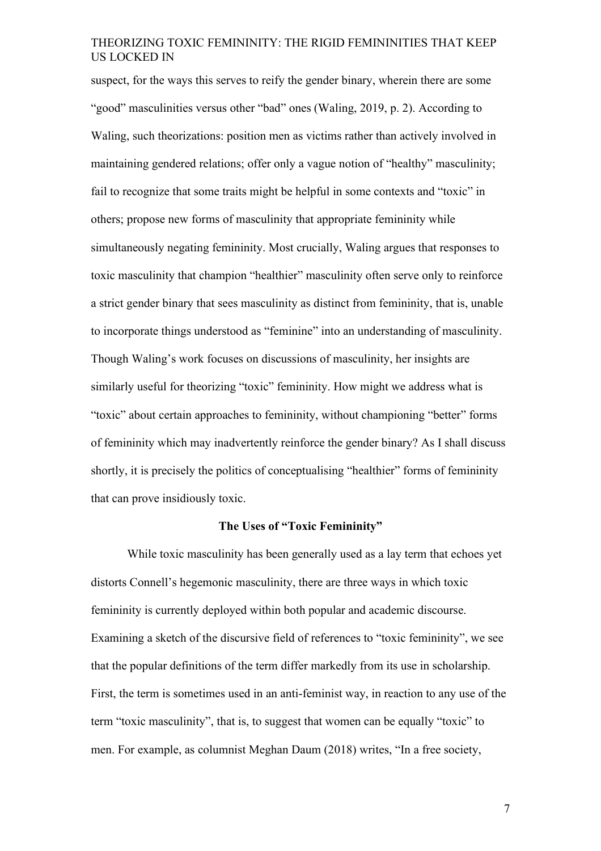suspect, for the ways this serves to reify the gender binary, wherein there are some "good" masculinities versus other "bad" ones (Waling, 2019, p. 2). According to Waling, such theorizations: position men as victims rather than actively involved in maintaining gendered relations; offer only a vague notion of "healthy" masculinity; fail to recognize that some traits might be helpful in some contexts and "toxic" in others; propose new forms of masculinity that appropriate femininity while simultaneously negating femininity. Most crucially, Waling argues that responses to toxic masculinity that champion "healthier" masculinity often serve only to reinforce a strict gender binary that sees masculinity as distinct from femininity, that is, unable to incorporate things understood as "feminine" into an understanding of masculinity. Though Waling's work focuses on discussions of masculinity, her insights are similarly useful for theorizing "toxic" femininity. How might we address what is "toxic" about certain approaches to femininity, without championing "better" forms of femininity which may inadvertently reinforce the gender binary? As I shall discuss shortly, it is precisely the politics of conceptualising "healthier" forms of femininity that can prove insidiously toxic.

## **The Uses of "Toxic Femininity"**

While toxic masculinity has been generally used as a lay term that echoes yet distorts Connell's hegemonic masculinity, there are three ways in which toxic femininity is currently deployed within both popular and academic discourse. Examining a sketch of the discursive field of references to "toxic femininity", we see that the popular definitions of the term differ markedly from its use in scholarship. First, the term is sometimes used in an anti-feminist way, in reaction to any use of the term "toxic masculinity", that is, to suggest that women can be equally "toxic" to men. For example, as columnist Meghan Daum (2018) writes, "In a free society,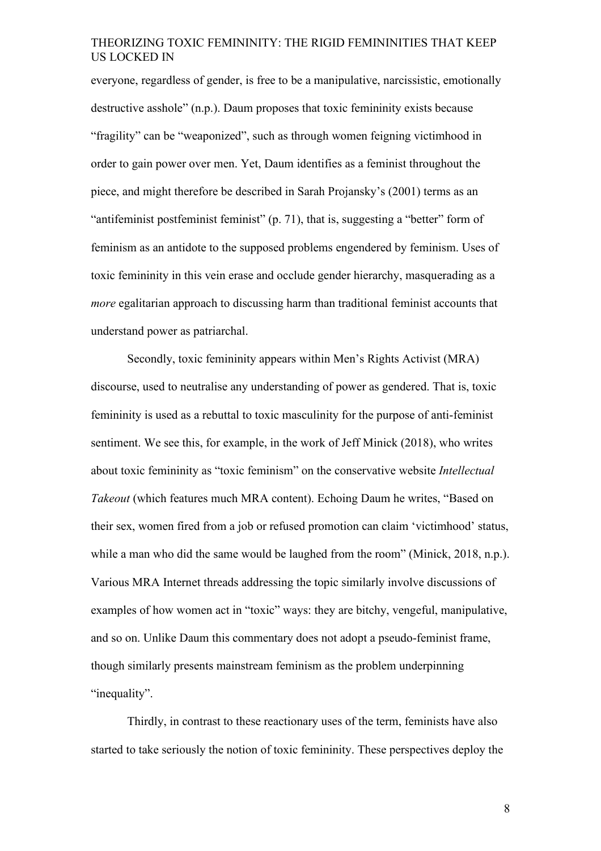everyone, regardless of gender, is free to be a manipulative, narcissistic, emotionally destructive asshole" (n.p.). Daum proposes that toxic femininity exists because "fragility" can be "weaponized", such as through women feigning victimhood in order to gain power over men. Yet, Daum identifies as a feminist throughout the piece, and might therefore be described in Sarah Projansky's (2001) terms as an "antifeminist postfeminist feminist" (p. 71), that is, suggesting a "better" form of feminism as an antidote to the supposed problems engendered by feminism. Uses of toxic femininity in this vein erase and occlude gender hierarchy, masquerading as a *more* egalitarian approach to discussing harm than traditional feminist accounts that understand power as patriarchal.

Secondly, toxic femininity appears within Men's Rights Activist (MRA) discourse, used to neutralise any understanding of power as gendered. That is, toxic femininity is used as a rebuttal to toxic masculinity for the purpose of anti-feminist sentiment. We see this, for example, in the work of Jeff Minick (2018), who writes about toxic femininity as "toxic feminism" on the conservative website *Intellectual Takeout* (which features much MRA content). Echoing Daum he writes, "Based on their sex, women fired from a job or refused promotion can claim 'victimhood' status, while a man who did the same would be laughed from the room" (Minick, 2018, n.p.). Various MRA Internet threads addressing the topic similarly involve discussions of examples of how women act in "toxic" ways: they are bitchy, vengeful, manipulative, and so on. Unlike Daum this commentary does not adopt a pseudo-feminist frame, though similarly presents mainstream feminism as the problem underpinning "inequality".

Thirdly, in contrast to these reactionary uses of the term, feminists have also started to take seriously the notion of toxic femininity. These perspectives deploy the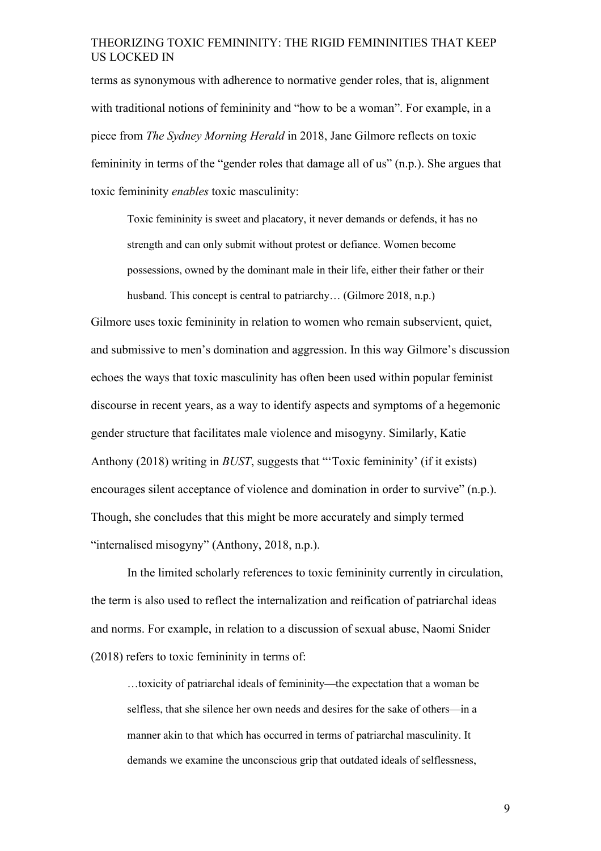terms as synonymous with adherence to normative gender roles, that is, alignment with traditional notions of femininity and "how to be a woman". For example, in a piece from *The Sydney Morning Herald* in 2018, Jane Gilmore reflects on toxic femininity in terms of the "gender roles that damage all of us" (n.p.). She argues that toxic femininity *enables* toxic masculinity:

Toxic femininity is sweet and placatory, it never demands or defends, it has no strength and can only submit without protest or defiance. Women become possessions, owned by the dominant male in their life, either their father or their husband. This concept is central to patriarchy... (Gilmore 2018, n.p.)

Gilmore uses toxic femininity in relation to women who remain subservient, quiet, and submissive to men's domination and aggression. In this way Gilmore's discussion echoes the ways that toxic masculinity has often been used within popular feminist discourse in recent years, as a way to identify aspects and symptoms of a hegemonic gender structure that facilitates male violence and misogyny. Similarly, Katie Anthony (2018) writing in *BUST*, suggests that "'Toxic femininity' (if it exists) encourages silent acceptance of violence and domination in order to survive" (n.p.). Though, she concludes that this might be more accurately and simply termed "internalised misogyny" (Anthony, 2018, n.p.).

In the limited scholarly references to toxic femininity currently in circulation, the term is also used to reflect the internalization and reification of patriarchal ideas and norms. For example, in relation to a discussion of sexual abuse, Naomi Snider (2018) refers to toxic femininity in terms of:

…toxicity of patriarchal ideals of femininity—the expectation that a woman be selfless, that she silence her own needs and desires for the sake of others—in a manner akin to that which has occurred in terms of patriarchal masculinity. It demands we examine the unconscious grip that outdated ideals of selflessness,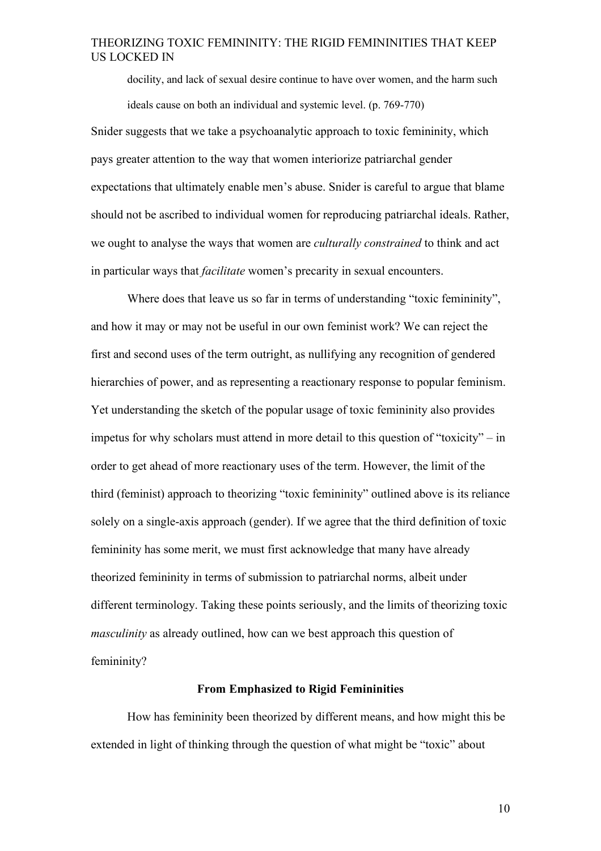docility, and lack of sexual desire continue to have over women, and the harm such ideals cause on both an individual and systemic level. (p. 769-770) Snider suggests that we take a psychoanalytic approach to toxic femininity, which pays greater attention to the way that women interiorize patriarchal gender expectations that ultimately enable men's abuse. Snider is careful to argue that blame should not be ascribed to individual women for reproducing patriarchal ideals. Rather, we ought to analyse the ways that women are *culturally constrained* to think and act in particular ways that *facilitate* women's precarity in sexual encounters.

Where does that leave us so far in terms of understanding "toxic femininity", and how it may or may not be useful in our own feminist work? We can reject the first and second uses of the term outright, as nullifying any recognition of gendered hierarchies of power, and as representing a reactionary response to popular feminism. Yet understanding the sketch of the popular usage of toxic femininity also provides impetus for why scholars must attend in more detail to this question of "toxicity" – in order to get ahead of more reactionary uses of the term. However, the limit of the third (feminist) approach to theorizing "toxic femininity" outlined above is its reliance solely on a single-axis approach (gender). If we agree that the third definition of toxic femininity has some merit, we must first acknowledge that many have already theorized femininity in terms of submission to patriarchal norms, albeit under different terminology. Taking these points seriously, and the limits of theorizing toxic *masculinity* as already outlined, how can we best approach this question of femininity?

#### **From Emphasized to Rigid Femininities**

How has femininity been theorized by different means, and how might this be extended in light of thinking through the question of what might be "toxic" about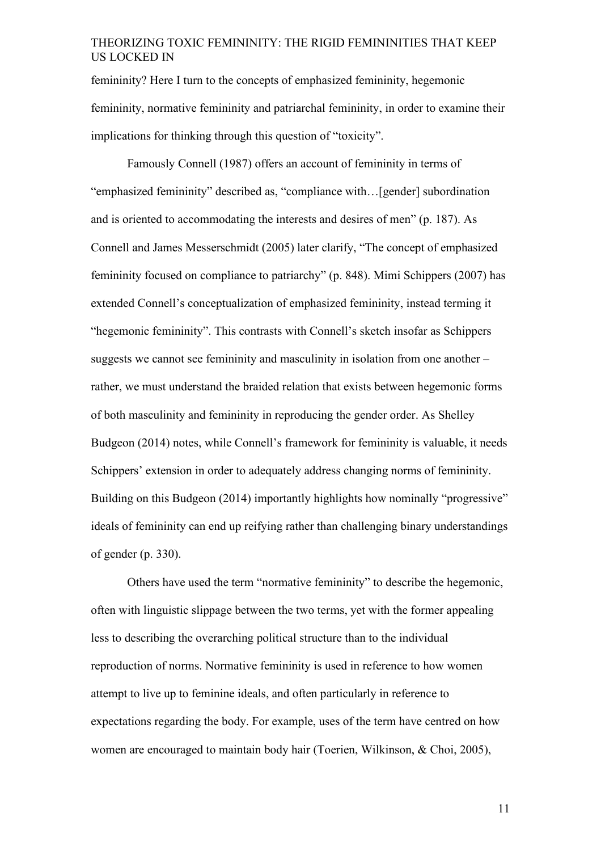femininity? Here I turn to the concepts of emphasized femininity, hegemonic femininity, normative femininity and patriarchal femininity, in order to examine their implications for thinking through this question of "toxicity".

Famously Connell (1987) offers an account of femininity in terms of "emphasized femininity" described as, "compliance with…[gender] subordination and is oriented to accommodating the interests and desires of men" (p. 187). As Connell and James Messerschmidt (2005) later clarify, "The concept of emphasized femininity focused on compliance to patriarchy" (p. 848). Mimi Schippers (2007) has extended Connell's conceptualization of emphasized femininity, instead terming it "hegemonic femininity". This contrasts with Connell's sketch insofar as Schippers suggests we cannot see femininity and masculinity in isolation from one another – rather, we must understand the braided relation that exists between hegemonic forms of both masculinity and femininity in reproducing the gender order. As Shelley Budgeon (2014) notes, while Connell's framework for femininity is valuable, it needs Schippers' extension in order to adequately address changing norms of femininity. Building on this Budgeon (2014) importantly highlights how nominally "progressive" ideals of femininity can end up reifying rather than challenging binary understandings of gender (p. 330).

Others have used the term "normative femininity" to describe the hegemonic, often with linguistic slippage between the two terms, yet with the former appealing less to describing the overarching political structure than to the individual reproduction of norms. Normative femininity is used in reference to how women attempt to live up to feminine ideals, and often particularly in reference to expectations regarding the body. For example, uses of the term have centred on how women are encouraged to maintain body hair (Toerien, Wilkinson, & Choi, 2005),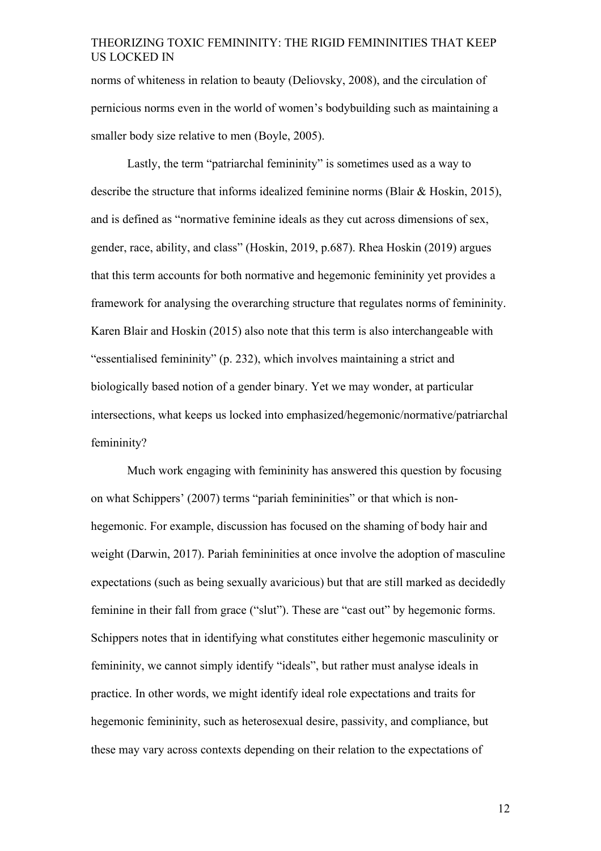norms of whiteness in relation to beauty (Deliovsky, 2008), and the circulation of pernicious norms even in the world of women's bodybuilding such as maintaining a smaller body size relative to men (Boyle, 2005).

Lastly, the term "patriarchal femininity" is sometimes used as a way to describe the structure that informs idealized feminine norms (Blair & Hoskin, 2015), and is defined as "normative feminine ideals as they cut across dimensions of sex, gender, race, ability, and class" (Hoskin, 2019, p.687). Rhea Hoskin (2019) argues that this term accounts for both normative and hegemonic femininity yet provides a framework for analysing the overarching structure that regulates norms of femininity. Karen Blair and Hoskin (2015) also note that this term is also interchangeable with "essentialised femininity" (p. 232), which involves maintaining a strict and biologically based notion of a gender binary. Yet we may wonder, at particular intersections, what keeps us locked into emphasized/hegemonic/normative/patriarchal femininity?

Much work engaging with femininity has answered this question by focusing on what Schippers' (2007) terms "pariah femininities" or that which is nonhegemonic. For example, discussion has focused on the shaming of body hair and weight (Darwin, 2017). Pariah femininities at once involve the adoption of masculine expectations (such as being sexually avaricious) but that are still marked as decidedly feminine in their fall from grace ("slut"). These are "cast out" by hegemonic forms. Schippers notes that in identifying what constitutes either hegemonic masculinity or femininity, we cannot simply identify "ideals", but rather must analyse ideals in practice. In other words, we might identify ideal role expectations and traits for hegemonic femininity, such as heterosexual desire, passivity, and compliance, but these may vary across contexts depending on their relation to the expectations of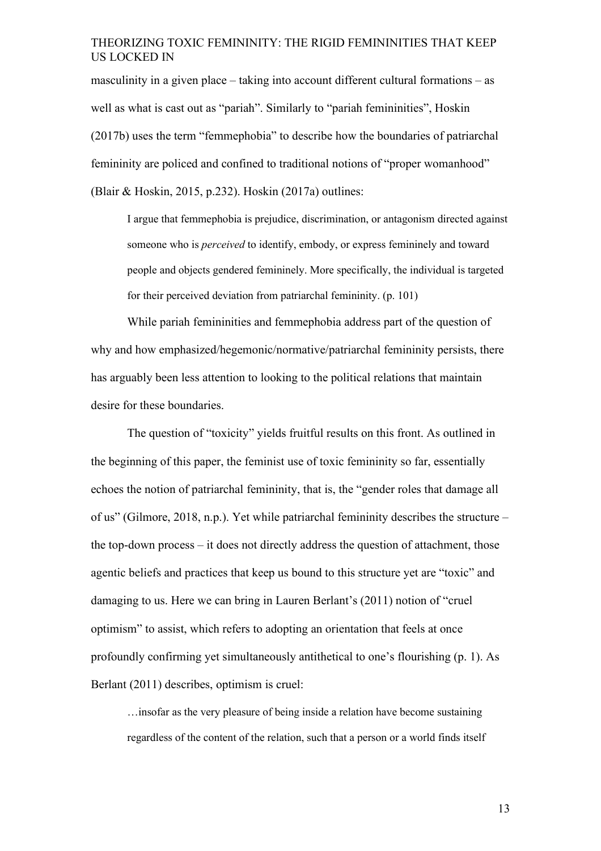masculinity in a given place – taking into account different cultural formations – as well as what is cast out as "pariah". Similarly to "pariah femininities", Hoskin (2017b) uses the term "femmephobia" to describe how the boundaries of patriarchal femininity are policed and confined to traditional notions of "proper womanhood" (Blair & Hoskin, 2015, p.232). Hoskin (2017a) outlines:

I argue that femmephobia is prejudice, discrimination, or antagonism directed against someone who is *perceived* to identify, embody, or express femininely and toward people and objects gendered femininely. More specifically, the individual is targeted for their perceived deviation from patriarchal femininity. (p. 101)

While pariah femininities and femmephobia address part of the question of why and how emphasized/hegemonic/normative/patriarchal femininity persists, there has arguably been less attention to looking to the political relations that maintain desire for these boundaries.

The question of "toxicity" yields fruitful results on this front. As outlined in the beginning of this paper, the feminist use of toxic femininity so far, essentially echoes the notion of patriarchal femininity, that is, the "gender roles that damage all of us" (Gilmore, 2018, n.p.). Yet while patriarchal femininity describes the structure – the top-down process – it does not directly address the question of attachment, those agentic beliefs and practices that keep us bound to this structure yet are "toxic" and damaging to us. Here we can bring in Lauren Berlant's (2011) notion of "cruel optimism" to assist, which refers to adopting an orientation that feels at once profoundly confirming yet simultaneously antithetical to one's flourishing (p. 1). As Berlant (2011) describes, optimism is cruel:

…insofar as the very pleasure of being inside a relation have become sustaining regardless of the content of the relation, such that a person or a world finds itself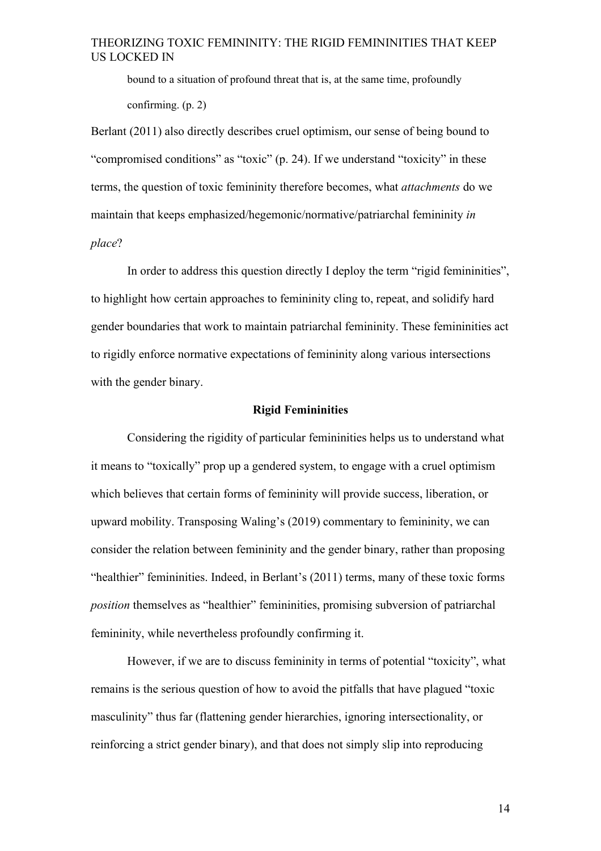bound to a situation of profound threat that is, at the same time, profoundly confirming. (p. 2)

Berlant (2011) also directly describes cruel optimism, our sense of being bound to "compromised conditions" as "toxic" (p. 24). If we understand "toxicity" in these terms, the question of toxic femininity therefore becomes, what *attachments* do we maintain that keeps emphasized/hegemonic/normative/patriarchal femininity *in place*?

In order to address this question directly I deploy the term "rigid femininities", to highlight how certain approaches to femininity cling to, repeat, and solidify hard gender boundaries that work to maintain patriarchal femininity. These femininities act to rigidly enforce normative expectations of femininity along various intersections with the gender binary.

## **Rigid Femininities**

Considering the rigidity of particular femininities helps us to understand what it means to "toxically" prop up a gendered system, to engage with a cruel optimism which believes that certain forms of femininity will provide success, liberation, or upward mobility. Transposing Waling's (2019) commentary to femininity, we can consider the relation between femininity and the gender binary, rather than proposing "healthier" femininities. Indeed, in Berlant's (2011) terms, many of these toxic forms *position* themselves as "healthier" femininities, promising subversion of patriarchal femininity, while nevertheless profoundly confirming it.

However, if we are to discuss femininity in terms of potential "toxicity", what remains is the serious question of how to avoid the pitfalls that have plagued "toxic masculinity" thus far (flattening gender hierarchies, ignoring intersectionality, or reinforcing a strict gender binary), and that does not simply slip into reproducing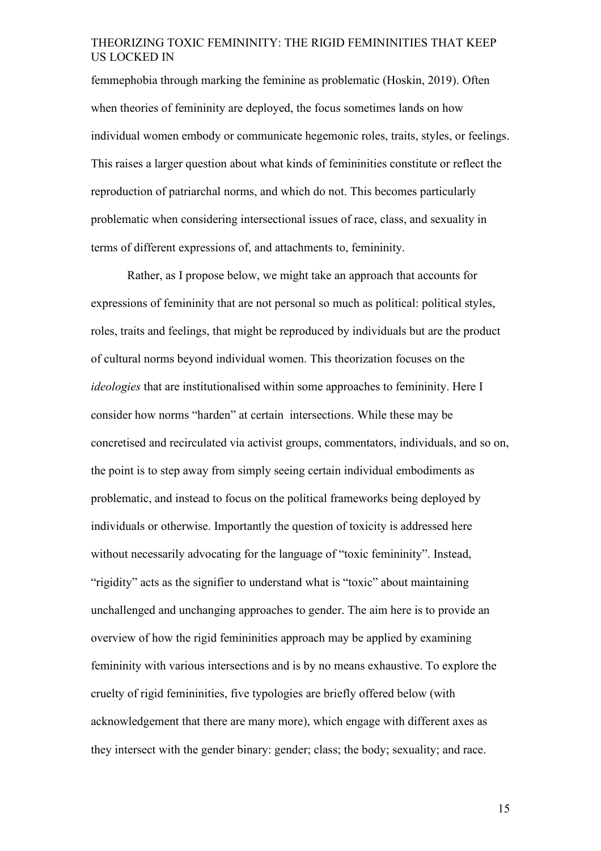femmephobia through marking the feminine as problematic (Hoskin, 2019). Often when theories of femininity are deployed, the focus sometimes lands on how individual women embody or communicate hegemonic roles, traits, styles, or feelings. This raises a larger question about what kinds of femininities constitute or reflect the reproduction of patriarchal norms, and which do not. This becomes particularly problematic when considering intersectional issues of race, class, and sexuality in terms of different expressions of, and attachments to, femininity.

Rather, as I propose below, we might take an approach that accounts for expressions of femininity that are not personal so much as political: political styles, roles, traits and feelings, that might be reproduced by individuals but are the product of cultural norms beyond individual women. This theorization focuses on the *ideologies* that are institutionalised within some approaches to femininity. Here I consider how norms "harden" at certain intersections. While these may be concretised and recirculated via activist groups, commentators, individuals, and so on, the point is to step away from simply seeing certain individual embodiments as problematic, and instead to focus on the political frameworks being deployed by individuals or otherwise. Importantly the question of toxicity is addressed here without necessarily advocating for the language of "toxic femininity". Instead, "rigidity" acts as the signifier to understand what is "toxic" about maintaining unchallenged and unchanging approaches to gender. The aim here is to provide an overview of how the rigid femininities approach may be applied by examining femininity with various intersections and is by no means exhaustive. To explore the cruelty of rigid femininities, five typologies are briefly offered below (with acknowledgement that there are many more), which engage with different axes as they intersect with the gender binary: gender; class; the body; sexuality; and race.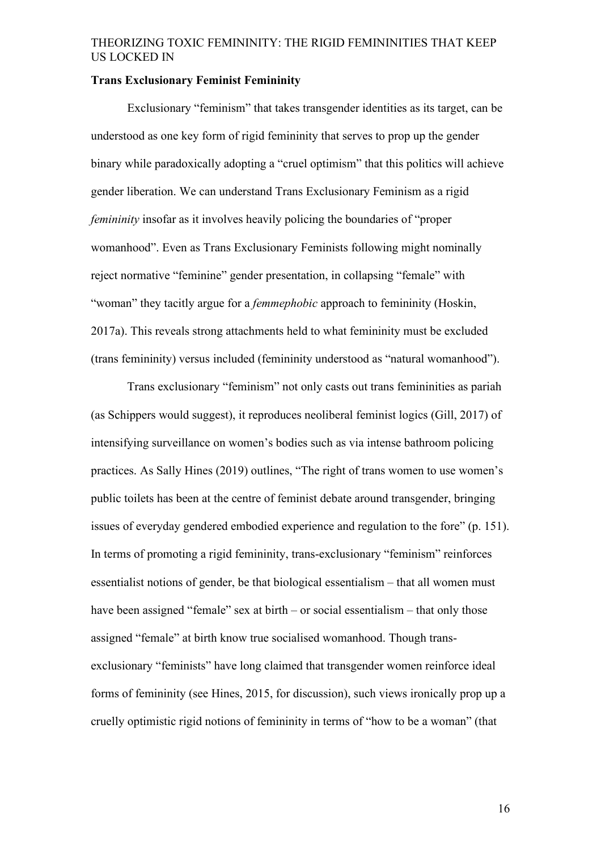#### **Trans Exclusionary Feminist Femininity**

Exclusionary "feminism" that takes transgender identities as its target, can be understood as one key form of rigid femininity that serves to prop up the gender binary while paradoxically adopting a "cruel optimism" that this politics will achieve gender liberation. We can understand Trans Exclusionary Feminism as a rigid *femininity* insofar as it involves heavily policing the boundaries of "proper" womanhood". Even as Trans Exclusionary Feminists following might nominally reject normative "feminine" gender presentation, in collapsing "female" with "woman" they tacitly argue for a *femmephobic* approach to femininity (Hoskin, 2017a). This reveals strong attachments held to what femininity must be excluded (trans femininity) versus included (femininity understood as "natural womanhood").

Trans exclusionary "feminism" not only casts out trans femininities as pariah (as Schippers would suggest), it reproduces neoliberal feminist logics (Gill, 2017) of intensifying surveillance on women's bodies such as via intense bathroom policing practices. As Sally Hines (2019) outlines, "The right of trans women to use women's public toilets has been at the centre of feminist debate around transgender, bringing issues of everyday gendered embodied experience and regulation to the fore" (p. 151). In terms of promoting a rigid femininity, trans-exclusionary "feminism" reinforces essentialist notions of gender, be that biological essentialism – that all women must have been assigned "female" sex at birth – or social essentialism – that only those assigned "female" at birth know true socialised womanhood. Though transexclusionary "feminists" have long claimed that transgender women reinforce ideal forms of femininity (see Hines, 2015, for discussion), such views ironically prop up a cruelly optimistic rigid notions of femininity in terms of "how to be a woman" (that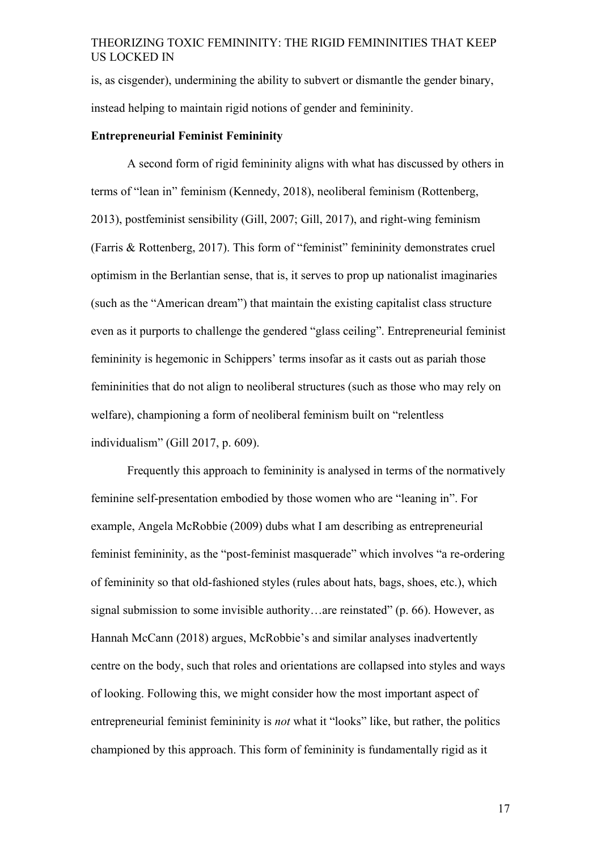is, as cisgender), undermining the ability to subvert or dismantle the gender binary, instead helping to maintain rigid notions of gender and femininity.

#### **Entrepreneurial Feminist Femininity**

A second form of rigid femininity aligns with what has discussed by others in terms of "lean in" feminism (Kennedy, 2018), neoliberal feminism (Rottenberg, 2013), postfeminist sensibility (Gill, 2007; Gill, 2017), and right-wing feminism (Farris & Rottenberg, 2017). This form of "feminist" femininity demonstrates cruel optimism in the Berlantian sense, that is, it serves to prop up nationalist imaginaries (such as the "American dream") that maintain the existing capitalist class structure even as it purports to challenge the gendered "glass ceiling". Entrepreneurial feminist femininity is hegemonic in Schippers' terms insofar as it casts out as pariah those femininities that do not align to neoliberal structures (such as those who may rely on welfare), championing a form of neoliberal feminism built on "relentless individualism" (Gill 2017, p. 609).

Frequently this approach to femininity is analysed in terms of the normatively feminine self-presentation embodied by those women who are "leaning in". For example, Angela McRobbie (2009) dubs what I am describing as entrepreneurial feminist femininity, as the "post-feminist masquerade" which involves "a re-ordering of femininity so that old-fashioned styles (rules about hats, bags, shoes, etc.), which signal submission to some invisible authority…are reinstated" (p. 66). However, as Hannah McCann (2018) argues, McRobbie's and similar analyses inadvertently centre on the body, such that roles and orientations are collapsed into styles and ways of looking. Following this, we might consider how the most important aspect of entrepreneurial feminist femininity is *not* what it "looks" like, but rather, the politics championed by this approach. This form of femininity is fundamentally rigid as it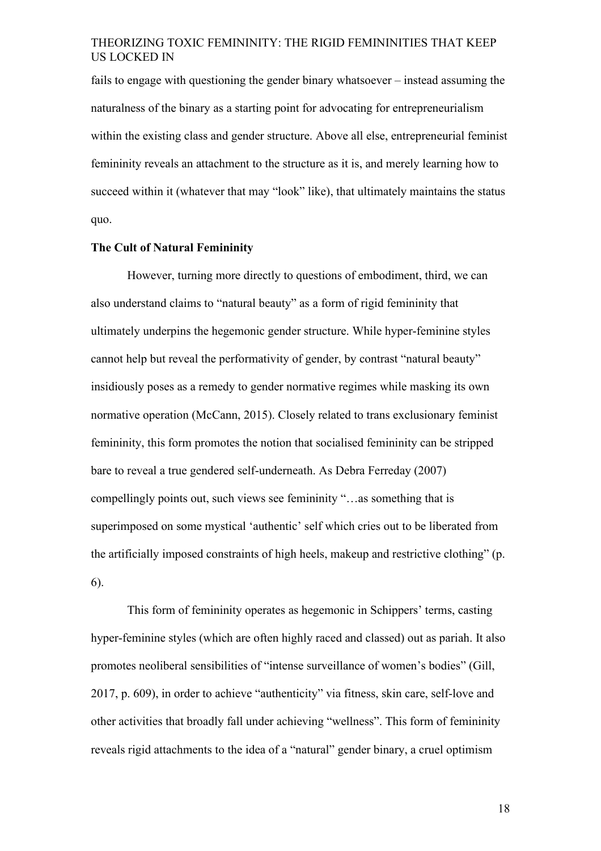fails to engage with questioning the gender binary whatsoever – instead assuming the naturalness of the binary as a starting point for advocating for entrepreneurialism within the existing class and gender structure. Above all else, entrepreneurial feminist femininity reveals an attachment to the structure as it is, and merely learning how to succeed within it (whatever that may "look" like), that ultimately maintains the status quo.

#### **The Cult of Natural Femininity**

However, turning more directly to questions of embodiment, third, we can also understand claims to "natural beauty" as a form of rigid femininity that ultimately underpins the hegemonic gender structure. While hyper-feminine styles cannot help but reveal the performativity of gender, by contrast "natural beauty" insidiously poses as a remedy to gender normative regimes while masking its own normative operation (McCann, 2015). Closely related to trans exclusionary feminist femininity, this form promotes the notion that socialised femininity can be stripped bare to reveal a true gendered self-underneath. As Debra Ferreday (2007) compellingly points out, such views see femininity "…as something that is superimposed on some mystical 'authentic' self which cries out to be liberated from the artificially imposed constraints of high heels, makeup and restrictive clothing" (p. 6).

This form of femininity operates as hegemonic in Schippers' terms, casting hyper-feminine styles (which are often highly raced and classed) out as pariah. It also promotes neoliberal sensibilities of "intense surveillance of women's bodies" (Gill, 2017, p. 609), in order to achieve "authenticity" via fitness, skin care, self-love and other activities that broadly fall under achieving "wellness". This form of femininity reveals rigid attachments to the idea of a "natural" gender binary, a cruel optimism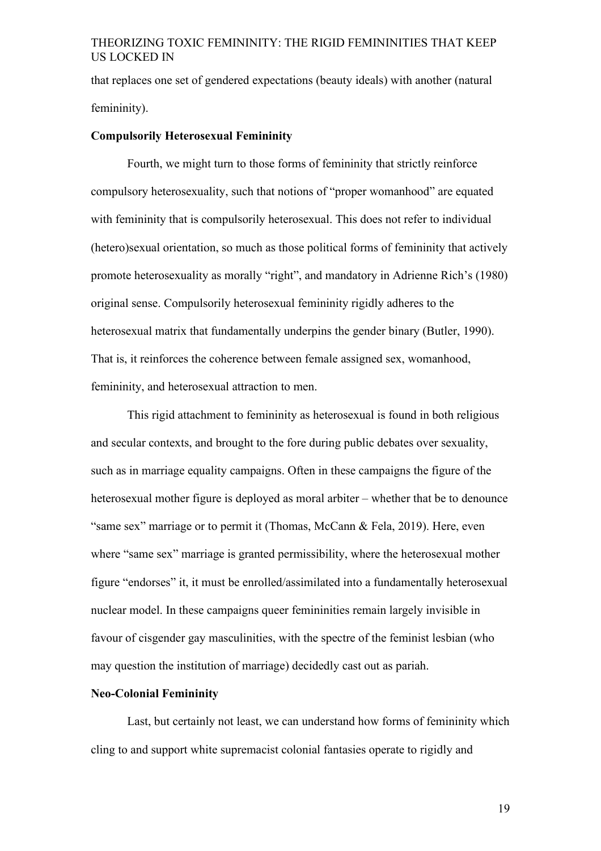that replaces one set of gendered expectations (beauty ideals) with another (natural femininity).

#### **Compulsorily Heterosexual Femininity**

Fourth, we might turn to those forms of femininity that strictly reinforce compulsory heterosexuality, such that notions of "proper womanhood" are equated with femininity that is compulsorily heterosexual. This does not refer to individual (hetero)sexual orientation, so much as those political forms of femininity that actively promote heterosexuality as morally "right", and mandatory in Adrienne Rich's (1980) original sense. Compulsorily heterosexual femininity rigidly adheres to the heterosexual matrix that fundamentally underpins the gender binary (Butler, 1990). That is, it reinforces the coherence between female assigned sex, womanhood, femininity, and heterosexual attraction to men.

This rigid attachment to femininity as heterosexual is found in both religious and secular contexts, and brought to the fore during public debates over sexuality, such as in marriage equality campaigns. Often in these campaigns the figure of the heterosexual mother figure is deployed as moral arbiter – whether that be to denounce "same sex" marriage or to permit it (Thomas, McCann & Fela, 2019). Here, even where "same sex" marriage is granted permissibility, where the heterosexual mother figure "endorses" it, it must be enrolled/assimilated into a fundamentally heterosexual nuclear model. In these campaigns queer femininities remain largely invisible in favour of cisgender gay masculinities, with the spectre of the feminist lesbian (who may question the institution of marriage) decidedly cast out as pariah.

## **Neo-Colonial Femininity**

Last, but certainly not least, we can understand how forms of femininity which cling to and support white supremacist colonial fantasies operate to rigidly and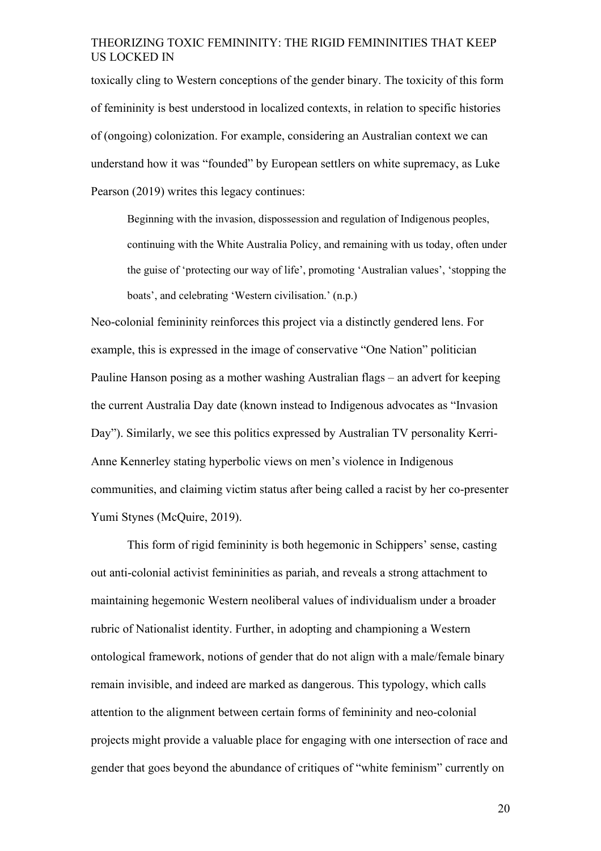toxically cling to Western conceptions of the gender binary. The toxicity of this form of femininity is best understood in localized contexts, in relation to specific histories of (ongoing) colonization. For example, considering an Australian context we can understand how it was "founded" by European settlers on white supremacy, as Luke Pearson (2019) writes this legacy continues:

Beginning with the invasion, dispossession and regulation of Indigenous peoples, continuing with the White Australia Policy, and remaining with us today, often under the guise of 'protecting our way of life', promoting 'Australian values', 'stopping the boats', and celebrating 'Western civilisation.' (n.p.)

Neo-colonial femininity reinforces this project via a distinctly gendered lens. For example, this is expressed in the image of conservative "One Nation" politician Pauline Hanson posing as a mother washing Australian flags – an advert for keeping the current Australia Day date (known instead to Indigenous advocates as "Invasion Day"). Similarly, we see this politics expressed by Australian TV personality Kerri-Anne Kennerley stating hyperbolic views on men's violence in Indigenous communities, and claiming victim status after being called a racist by her co-presenter Yumi Stynes (McQuire, 2019).

This form of rigid femininity is both hegemonic in Schippers' sense, casting out anti-colonial activist femininities as pariah, and reveals a strong attachment to maintaining hegemonic Western neoliberal values of individualism under a broader rubric of Nationalist identity. Further, in adopting and championing a Western ontological framework, notions of gender that do not align with a male/female binary remain invisible, and indeed are marked as dangerous. This typology, which calls attention to the alignment between certain forms of femininity and neo-colonial projects might provide a valuable place for engaging with one intersection of race and gender that goes beyond the abundance of critiques of "white feminism" currently on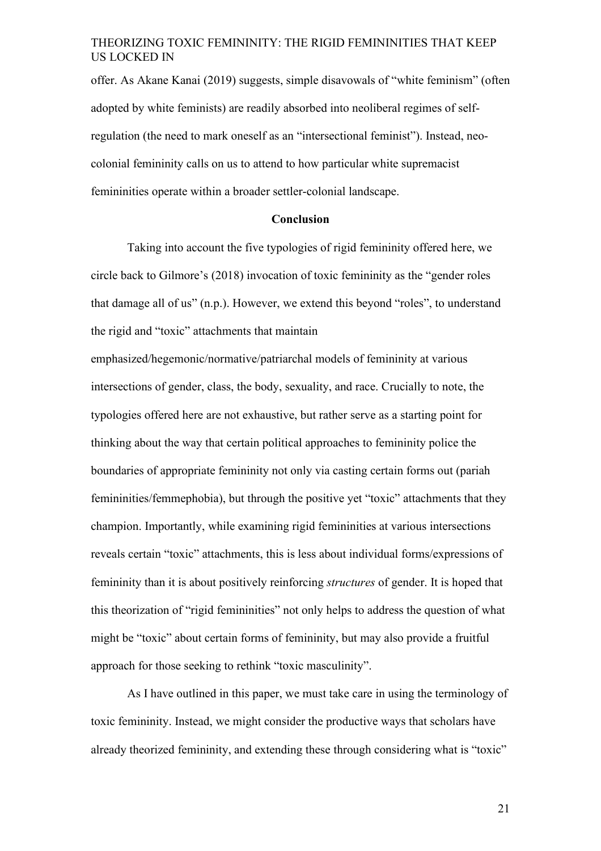offer. As Akane Kanai (2019) suggests, simple disavowals of "white feminism" (often adopted by white feminists) are readily absorbed into neoliberal regimes of selfregulation (the need to mark oneself as an "intersectional feminist"). Instead, neocolonial femininity calls on us to attend to how particular white supremacist femininities operate within a broader settler-colonial landscape.

#### **Conclusion**

Taking into account the five typologies of rigid femininity offered here, we circle back to Gilmore's (2018) invocation of toxic femininity as the "gender roles that damage all of us" (n.p.). However, we extend this beyond "roles", to understand the rigid and "toxic" attachments that maintain

emphasized/hegemonic/normative/patriarchal models of femininity at various intersections of gender, class, the body, sexuality, and race. Crucially to note, the typologies offered here are not exhaustive, but rather serve as a starting point for thinking about the way that certain political approaches to femininity police the boundaries of appropriate femininity not only via casting certain forms out (pariah femininities/femmephobia), but through the positive yet "toxic" attachments that they champion. Importantly, while examining rigid femininities at various intersections reveals certain "toxic" attachments, this is less about individual forms/expressions of femininity than it is about positively reinforcing *structures* of gender. It is hoped that this theorization of "rigid femininities" not only helps to address the question of what might be "toxic" about certain forms of femininity, but may also provide a fruitful approach for those seeking to rethink "toxic masculinity".

As I have outlined in this paper, we must take care in using the terminology of toxic femininity. Instead, we might consider the productive ways that scholars have already theorized femininity, and extending these through considering what is "toxic"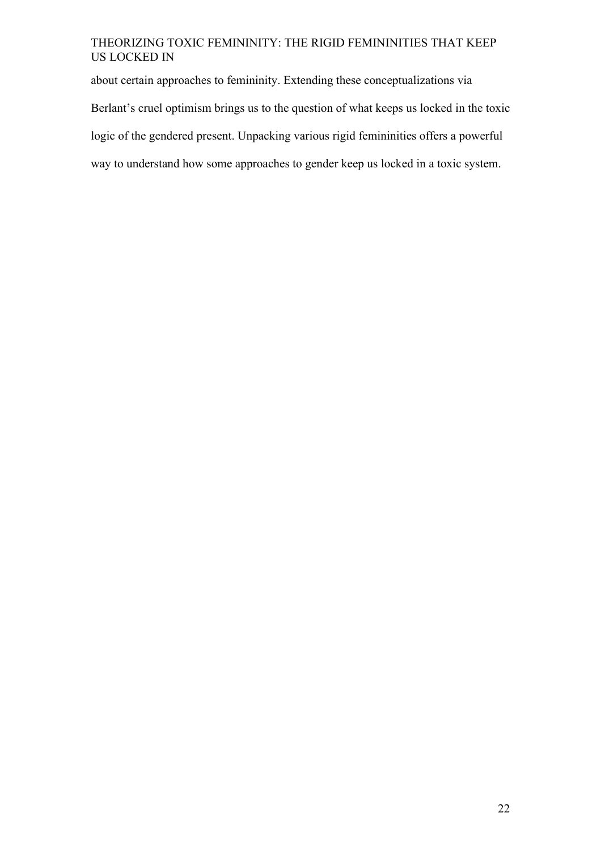about certain approaches to femininity. Extending these conceptualizations via Berlant's cruel optimism brings us to the question of what keeps us locked in the toxic logic of the gendered present. Unpacking various rigid femininities offers a powerful way to understand how some approaches to gender keep us locked in a toxic system.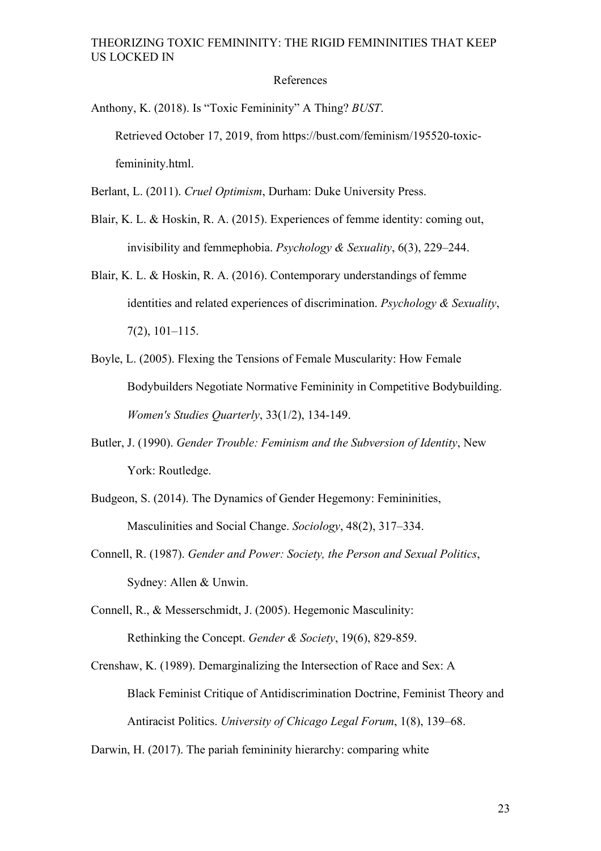#### References

Anthony, K. (2018). Is "Toxic Femininity" A Thing? *BUST*. Retrieved October 17, 2019, from https://bust.com/feminism/195520-toxicfemininity.html.

Berlant, L. (2011). *Cruel Optimism*, Durham: Duke University Press.

- Blair, K. L. & Hoskin, R. A. (2015). Experiences of femme identity: coming out, invisibility and femmephobia. *Psychology & Sexuality*, 6(3), 229–244.
- Blair, K. L. & Hoskin, R. A. (2016). Contemporary understandings of femme identities and related experiences of discrimination. *Psychology & Sexuality*, 7(2), 101–115.
- Boyle, L. (2005). Flexing the Tensions of Female Muscularity: How Female Bodybuilders Negotiate Normative Femininity in Competitive Bodybuilding. *Women's Studies Quarterly*, 33(1/2), 134-149.
- Butler, J. (1990). *Gender Trouble: Feminism and the Subversion of Identity*, New York: Routledge.
- Budgeon, S. (2014). The Dynamics of Gender Hegemony: Femininities, Masculinities and Social Change. *Sociology*, 48(2), 317–334.
- Connell, R. (1987). *Gender and Power: Society, the Person and Sexual Politics*, Sydney: Allen & Unwin.

Connell, R., & Messerschmidt, J. (2005). Hegemonic Masculinity: Rethinking the Concept. *Gender & Society*, 19(6), 829-859.

Crenshaw, K. (1989). Demarginalizing the Intersection of Race and Sex: A Black Feminist Critique of Antidiscrimination Doctrine, Feminist Theory and Antiracist Politics. *University of Chicago Legal Forum*, 1(8), 139–68.

Darwin, H. (2017). The pariah femininity hierarchy: comparing white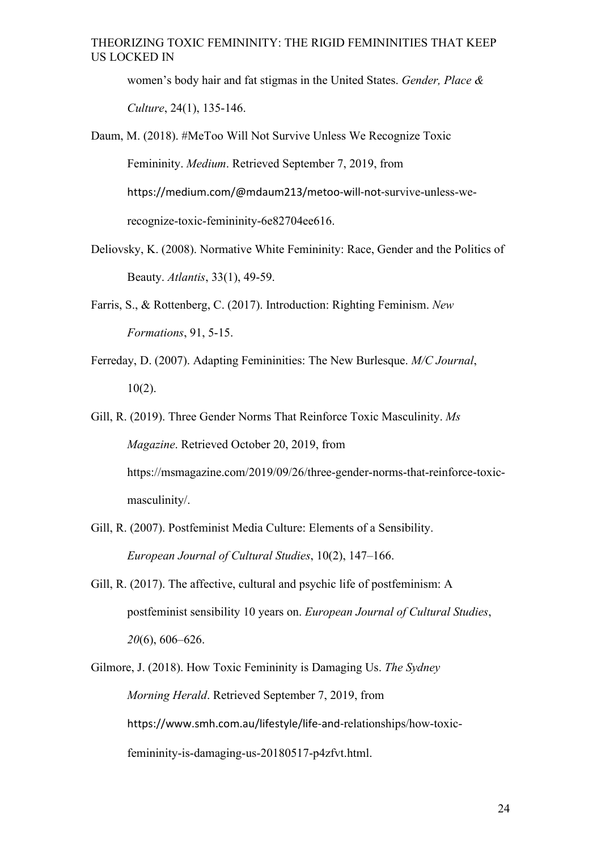women's body hair and fat stigmas in the United States. *Gender, Place & Culture*, 24(1), 135-146.

Daum, M. (2018). #MeToo Will Not Survive Unless We Recognize Toxic Femininity. *Medium*. Retrieved September 7, 2019, from https://medium.com/@mdaum213/metoo-will-not-survive-unless-werecognize-toxic-femininity-6e82704ee616.

- Deliovsky, K. (2008). Normative White Femininity: Race, Gender and the Politics of Beauty. *Atlantis*, 33(1), 49-59.
- Farris, S., & Rottenberg, C. (2017). Introduction: Righting Feminism. *New Formations*, 91, 5-15.
- Ferreday, D. (2007). Adapting Femininities: The New Burlesque. *M/C Journal*, 10(2).
- Gill, R. (2019). Three Gender Norms That Reinforce Toxic Masculinity. *Ms Magazine*. Retrieved October 20, 2019, from https://msmagazine.com/2019/09/26/three-gender-norms-that-reinforce-toxicmasculinity/.
- Gill, R. (2007). Postfeminist Media Culture: Elements of a Sensibility. *European Journal of Cultural Studies*, 10(2), 147–166.
- Gill, R. (2017). The affective, cultural and psychic life of postfeminism: A postfeminist sensibility 10 years on. *European Journal of Cultural Studies*, *20*(6), 606–626.
- Gilmore, J. (2018). How Toxic Femininity is Damaging Us. *The Sydney Morning Herald*. Retrieved September 7, 2019, from https://www.smh.com.au/lifestyle/life-and-relationships/how-toxicfemininity-is-damaging-us-20180517-p4zfvt.html.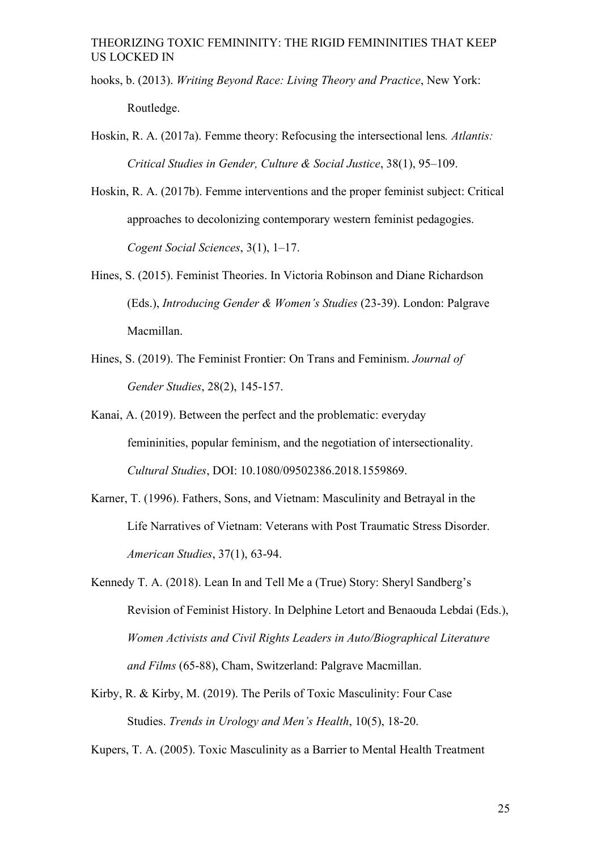- hooks, b. (2013). *Writing Beyond Race: Living Theory and Practice*, New York: Routledge.
- Hoskin, R. A. (2017a). Femme theory: Refocusing the intersectional lens*. Atlantis: Critical Studies in Gender, Culture & Social Justice*, 38(1), 95–109.
- Hoskin, R. A. (2017b). Femme interventions and the proper feminist subject: Critical approaches to decolonizing contemporary western feminist pedagogies. *Cogent Social Sciences*, 3(1), 1–17.
- Hines, S. (2015). Feminist Theories. In Victoria Robinson and Diane Richardson (Eds.), *Introducing Gender & Women's Studies* (23-39). London: Palgrave Macmillan.
- Hines, S. (2019). The Feminist Frontier: On Trans and Feminism. *Journal of Gender Studies*, 28(2), 145-157.
- Kanai, A. (2019). Between the perfect and the problematic: everyday femininities, popular feminism, and the negotiation of intersectionality. *Cultural Studies*, DOI: 10.1080/09502386.2018.1559869.
- Karner, T. (1996). Fathers, Sons, and Vietnam: Masculinity and Betrayal in the Life Narratives of Vietnam: Veterans with Post Traumatic Stress Disorder. *American Studies*, 37(1), 63-94.
- Kennedy T. A. (2018). Lean In and Tell Me a (True) Story: Sheryl Sandberg's Revision of Feminist History. In Delphine Letort and Benaouda Lebdai (Eds.), *Women Activists and Civil Rights Leaders in Auto/Biographical Literature and Films* (65-88), Cham, Switzerland: Palgrave Macmillan.
- Kirby, R. & Kirby, M. (2019). The Perils of Toxic Masculinity: Four Case Studies. *Trends in Urology and Men's Health*, 10(5), 18-20.

Kupers, T. A. (2005). Toxic Masculinity as a Barrier to Mental Health Treatment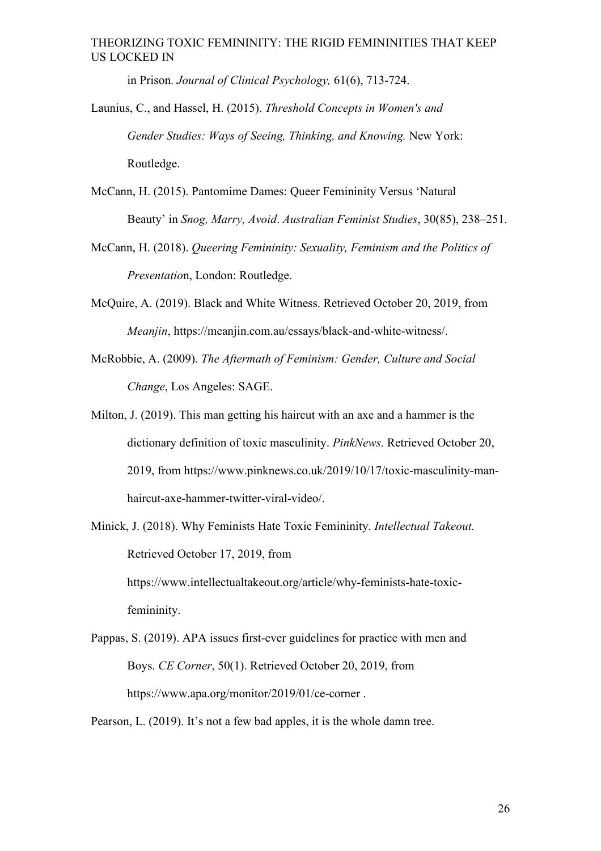in Prison. *Journal of Clinical Psychology,* 61(6), 713-724.

Launius, C., and Hassel, H. (2015). *Threshold Concepts in Women's and Gender Studies: Ways of Seeing, Thinking, and Knowing.* New York: Routledge.

- McCann, H. (2015). Pantomime Dames: Queer Femininity Versus 'Natural Beauty' in *Snog, Marry, Avoid*. *Australian Feminist Studies*, 30(85), 238–251.
- McCann, H. (2018). *Queering Femininity: Sexuality, Feminism and the Politics of Presentatio*n, London: Routledge.
- McQuire, A. (2019). Black and White Witness. Retrieved October 20, 2019, from *Meanjin*, https://meanjin.com.au/essays/black-and-white-witness/.
- McRobbie, A. (2009). *The Aftermath of Feminism: Gender, Culture and Social Change*, Los Angeles: SAGE.
- Milton, J. (2019). This man getting his haircut with an axe and a hammer is the dictionary definition of toxic masculinity. *PinkNews.* Retrieved October 20, 2019, from https://www.pinknews.co.uk/2019/10/17/toxic-masculinity-manhaircut-axe-hammer-twitter-viral-video/.
- Minick, J. (2018). Why Feminists Hate Toxic Femininity. *Intellectual Takeout.*  Retrieved October 17, 2019, from https://www.intellectualtakeout.org/article/why-feminists-hate-toxicfemininity.
- Pappas, S. (2019). APA issues first-ever guidelines for practice with men and Boys. *CE Corner*, 50(1). Retrieved October 20, 2019, from https://www.apa.org/monitor/2019/01/ce-corner .

Pearson, L. (2019). It's not a few bad apples, it is the whole damn tree.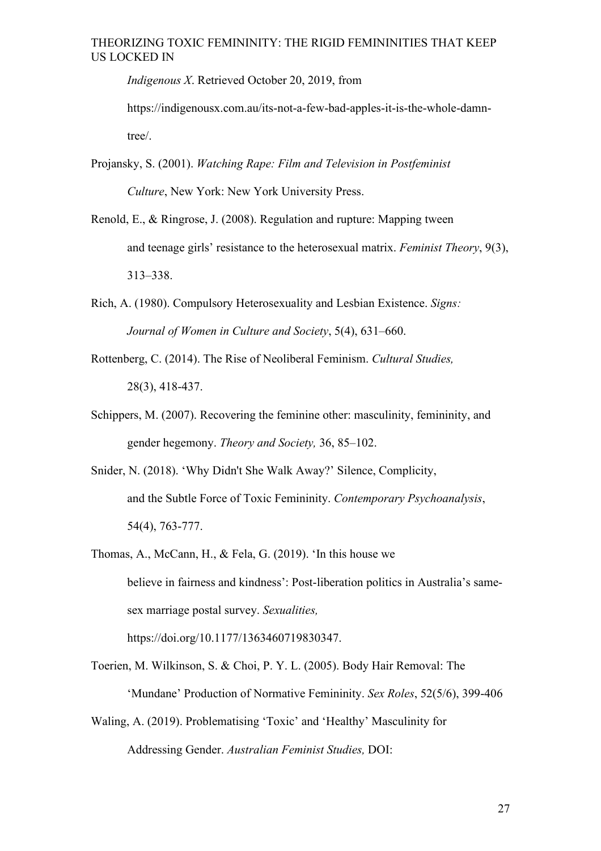*Indigenous X*. Retrieved October 20, 2019, from

https://indigenousx.com.au/its-not-a-few-bad-apples-it-is-the-whole-damntree/.

Projansky, S. (2001). *Watching Rape: Film and Television in Postfeminist Culture*, New York: New York University Press.

- Renold, E., & Ringrose, J. (2008). Regulation and rupture: Mapping tween and teenage girls' resistance to the heterosexual matrix. *Feminist Theory*, 9(3), 313–338.
- Rich, A. (1980). Compulsory Heterosexuality and Lesbian Existence. *Signs: Journal of Women in Culture and Society*, 5(4), 631–660.
- Rottenberg, C. (2014). The Rise of Neoliberal Feminism. *Cultural Studies,* 28(3), 418-437.
- Schippers, M. (2007). Recovering the feminine other: masculinity, femininity, and gender hegemony. *Theory and Society,* 36, 85–102.
- Snider, N. (2018). 'Why Didn't She Walk Away?' Silence, Complicity, and the Subtle Force of Toxic Femininity. *Contemporary Psychoanalysis*, 54(4), 763-777.
- Thomas, A., McCann, H., & Fela, G. (2019). 'In this house we believe in fairness and kindness': Post-liberation politics in Australia's samesex marriage postal survey. *Sexualities,* https://doi.org/10.1177/1363460719830347.
- Toerien, M. Wilkinson, S. & Choi, P. Y. L. (2005). Body Hair Removal: The 'Mundane' Production of Normative Femininity. *Sex Roles*, 52(5/6), 399-406
- Waling, A. (2019). Problematising 'Toxic' and 'Healthy' Masculinity for Addressing Gender. *Australian Feminist Studies,* DOI: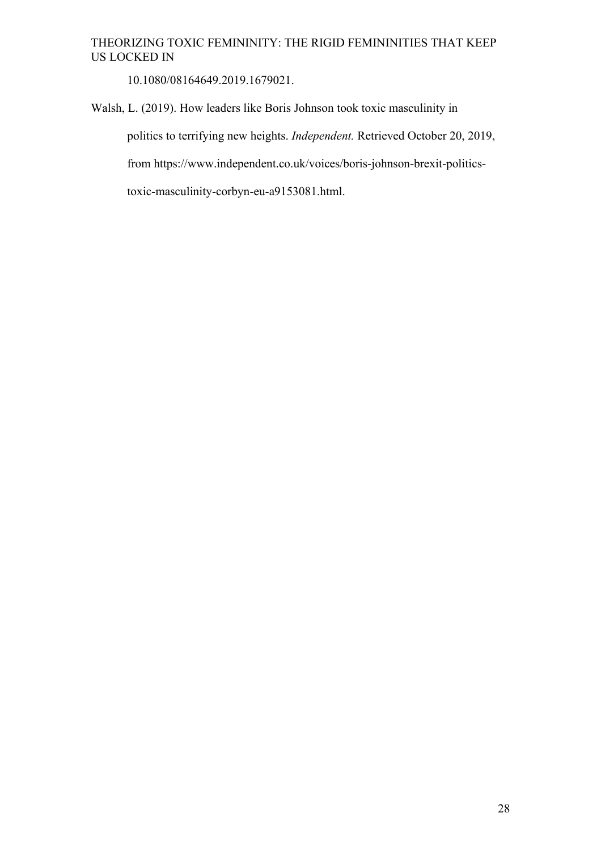10.1080/08164649.2019.1679021.

Walsh, L. (2019). How leaders like Boris Johnson took toxic masculinity in

politics to terrifying new heights. *Independent.* Retrieved October 20, 2019,

from https://www.independent.co.uk/voices/boris-johnson-brexit-politics-

toxic-masculinity-corbyn-eu-a9153081.html.